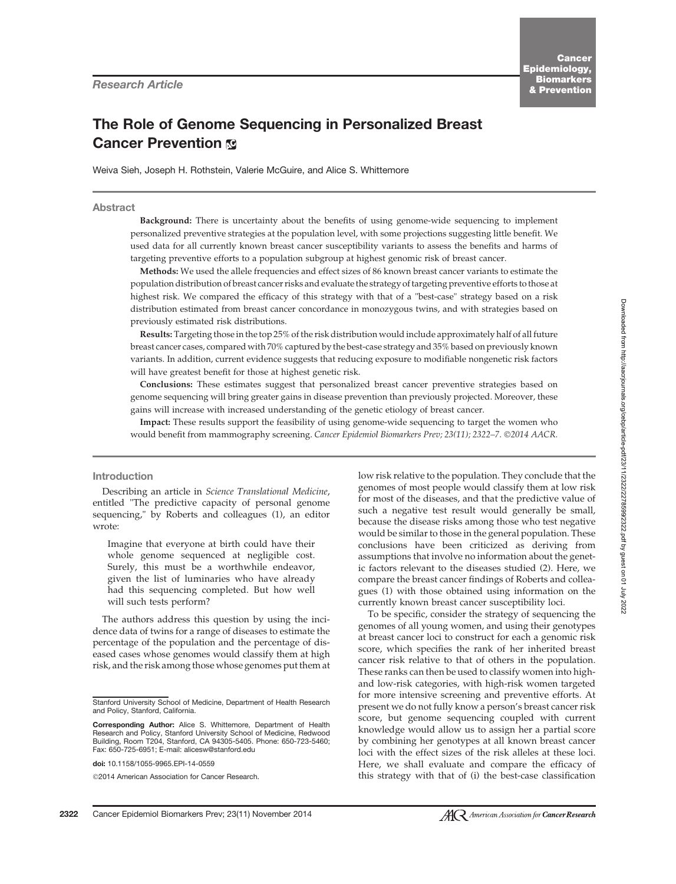# The Role of Genome Sequencing in Personalized Breast **Cancer Prevention &**

Weiva Sieh, Joseph H. Rothstein, Valerie McGuire, and Alice S. Whittemore

## Abstract

Background: There is uncertainty about the benefits of using genome-wide sequencing to implement personalized preventive strategies at the population level, with some projections suggesting little benefit. We used data for all currently known breast cancer susceptibility variants to assess the benefits and harms of targeting preventive efforts to a population subgroup at highest genomic risk of breast cancer.

Methods: We used the allele frequencies and effect sizes of 86 known breast cancer variants to estimate the population distribution of breast cancer risks and evaluate the strategy of targeting preventive efforts to those at highest risk. We compared the efficacy of this strategy with that of a "best-case" strategy based on a risk distribution estimated from breast cancer concordance in monozygous twins, and with strategies based on previously estimated risk distributions.

Results: Targeting those in the top 25% of the risk distribution would include approximately half of all future breast cancer cases, compared with 70% captured by the best-case strategy and 35% based on previously known variants. In addition, current evidence suggests that reducing exposure to modifiable nongenetic risk factors will have greatest benefit for those at highest genetic risk.

Conclusions: These estimates suggest that personalized breast cancer preventive strategies based on genome sequencing will bring greater gains in disease prevention than previously projected. Moreover, these gains will increase with increased understanding of the genetic etiology of breast cancer.

Impact: These results support the feasibility of using genome-wide sequencing to target the women who would benefit from mammography screening. Cancer Epidemiol Biomarkers Prev; 23(11); 2322-7. @2014 AACR.

# Introduction

Describing an article in Science Translational Medicine, entitled "The predictive capacity of personal genome sequencing," by Roberts and colleagues (1), an editor wrote:

Imagine that everyone at birth could have their whole genome sequenced at negligible cost. Surely, this must be a worthwhile endeavor, given the list of luminaries who have already had this sequencing completed. But how well will such tests perform?

The authors address this question by using the incidence data of twins for a range of diseases to estimate the percentage of the population and the percentage of diseased cases whose genomes would classify them at high risk, and the risk among those whose genomes put them at

2014 American Association for Cancer Research.

low risk relative to the population. They conclude that the genomes of most people would classify them at low risk for most of the diseases, and that the predictive value of such a negative test result would generally be small, because the disease risks among those who test negative would be similar to those in the general population. These conclusions have been criticized as deriving from assumptions that involve no information about the genetic factors relevant to the diseases studied (2). Here, we compare the breast cancer findings of Roberts and colleagues (1) with those obtained using information on the currently known breast cancer susceptibility loci.

To be specific, consider the strategy of sequencing the genomes of all young women, and using their genotypes at breast cancer loci to construct for each a genomic risk score, which specifies the rank of her inherited breast cancer risk relative to that of others in the population. These ranks can then be used to classify women into highand low-risk categories, with high-risk women targeted for more intensive screening and preventive efforts. At present we do not fully know a person's breast cancer risk score, but genome sequencing coupled with current knowledge would allow us to assign her a partial score by combining her genotypes at all known breast cancer loci with the effect sizes of the risk alleles at these loci. Here, we shall evaluate and compare the efficacy of this strategy with that of (i) the best-case classification

Stanford University School of Medicine, Department of Health Research and Policy, Stanford, California.

Corresponding Author: Alice S. Whittemore, Department of Health Research and Policy, Stanford University School of Medicine, Redwood Building, Room T204, Stanford, CA 94305-5405. Phone: 650-723-5460; Fax: 650-725-6951; E-mail: alicesw@stanford.edu

doi: 10.1158/1055-9965.EPI-14-0559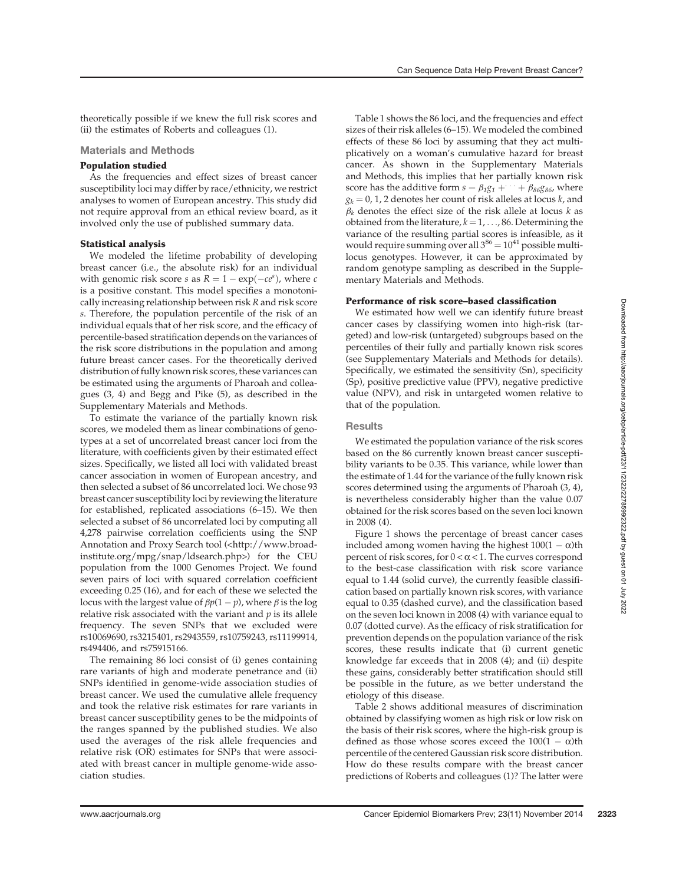theoretically possible if we knew the full risk scores and (ii) the estimates of Roberts and colleagues (1).

### Materials and Methods

# Population studied

As the frequencies and effect sizes of breast cancer susceptibility loci may differ by race/ethnicity, we restrict analyses to women of European ancestry. This study did not require approval from an ethical review board, as it involved only the use of published summary data.

## Statistical analysis

We modeled the lifetime probability of developing breast cancer (i.e., the absolute risk) for an individual with genomic risk score *s* as  $R = 1 - \exp(-ce^s)$ , where *c* is a positive constant. This model specifies a monotonically increasing relationship between risk R and risk score s. Therefore, the population percentile of the risk of an individual equals that of her risk score, and the efficacy of percentile-based stratification depends on the variances of the risk score distributions in the population and among future breast cancer cases. For the theoretically derived distribution of fully known risk scores, these variances can be estimated using the arguments of Pharoah and colleagues (3, 4) and Begg and Pike (5), as described in the Supplementary Materials and Methods.

To estimate the variance of the partially known risk scores, we modeled them as linear combinations of genotypes at a set of uncorrelated breast cancer loci from the literature, with coefficients given by their estimated effect sizes. Specifically, we listed all loci with validated breast cancer association in women of European ancestry, and then selected a subset of 86 uncorrelated loci. We chose 93 breast cancer susceptibility loci by reviewing the literature for established, replicated associations (6–15). We then selected a subset of 86 uncorrelated loci by computing all 4,278 pairwise correlation coefficients using the SNP Annotation and Proxy Search tool (<http://www.broadinstitute.org/mpg/snap/ldsearch.php>) for the CEU population from the 1000 Genomes Project. We found seven pairs of loci with squared correlation coefficient exceeding 0.25 (16), and for each of these we selected the locus with the largest value of  $\beta p(1-p)$ , where  $\beta$  is the log relative risk associated with the variant and  $p$  is its allele frequency. The seven SNPs that we excluded were rs10069690, rs3215401, rs2943559, rs10759243, rs11199914, rs494406, and rs75915166.

The remaining 86 loci consist of (i) genes containing rare variants of high and moderate penetrance and (ii) SNPs identified in genome-wide association studies of breast cancer. We used the cumulative allele frequency and took the relative risk estimates for rare variants in breast cancer susceptibility genes to be the midpoints of the ranges spanned by the published studies. We also used the averages of the risk allele frequencies and relative risk (OR) estimates for SNPs that were associated with breast cancer in multiple genome-wide association studies.

Table 1 shows the 86 loci, and the frequencies and effect sizes of their risk alleles (6–15). We modeled the combined effects of these 86 loci by assuming that they act multiplicatively on a woman's cumulative hazard for breast cancer. As shown in the Supplementary Materials and Methods, this implies that her partially known risk score has the additive form  $s = \beta_1 g_1 + \cdots + \beta_{86} g_{86}$ , where  $g_k = 0$ , 1, 2 denotes her count of risk alleles at locus k, and  $\beta_k$  denotes the effect size of the risk allele at locus k as obtained from the literature,  $k = 1, \ldots, 86$ . Determining the variance of the resulting partial scores is infeasible, as it would require summing over all  $3^{86} = 10^{41}$  possible multilocus genotypes. However, it can be approximated by random genotype sampling as described in the Supplementary Materials and Methods.

# Performance of risk score–based classification

We estimated how well we can identify future breast cancer cases by classifying women into high-risk (targeted) and low-risk (untargeted) subgroups based on the percentiles of their fully and partially known risk scores (see Supplementary Materials and Methods for details). Specifically, we estimated the sensitivity (Sn), specificity (Sp), positive predictive value (PPV), negative predictive value (NPV), and risk in untargeted women relative to that of the population.

# **Results**

We estimated the population variance of the risk scores based on the 86 currently known breast cancer susceptibility variants to be 0.35. This variance, while lower than the estimate of 1.44 for the variance of the fully known risk scores determined using the arguments of Pharoah (3, 4), is nevertheless considerably higher than the value 0.07 obtained for the risk scores based on the seven loci known in 2008 (4).

Figure 1 shows the percentage of breast cancer cases included among women having the highest  $100(1 - \alpha)$ th percent of risk scores, for  $0 < \alpha < 1$ . The curves correspond to the best-case classification with risk score variance equal to 1.44 (solid curve), the currently feasible classification based on partially known risk scores, with variance equal to 0.35 (dashed curve), and the classification based on the seven loci known in 2008 (4) with variance equal to 0.07 (dotted curve). As the efficacy of risk stratification for prevention depends on the population variance of the risk scores, these results indicate that (i) current genetic knowledge far exceeds that in 2008 (4); and (ii) despite these gains, considerably better stratification should still be possible in the future, as we better understand the etiology of this disease.

Table 2 shows additional measures of discrimination obtained by classifying women as high risk or low risk on the basis of their risk scores, where the high-risk group is defined as those whose scores exceed the  $100(1 - \alpha)$ th percentile of the centered Gaussian risk score distribution. How do these results compare with the breast cancer predictions of Roberts and colleagues (1)? The latter were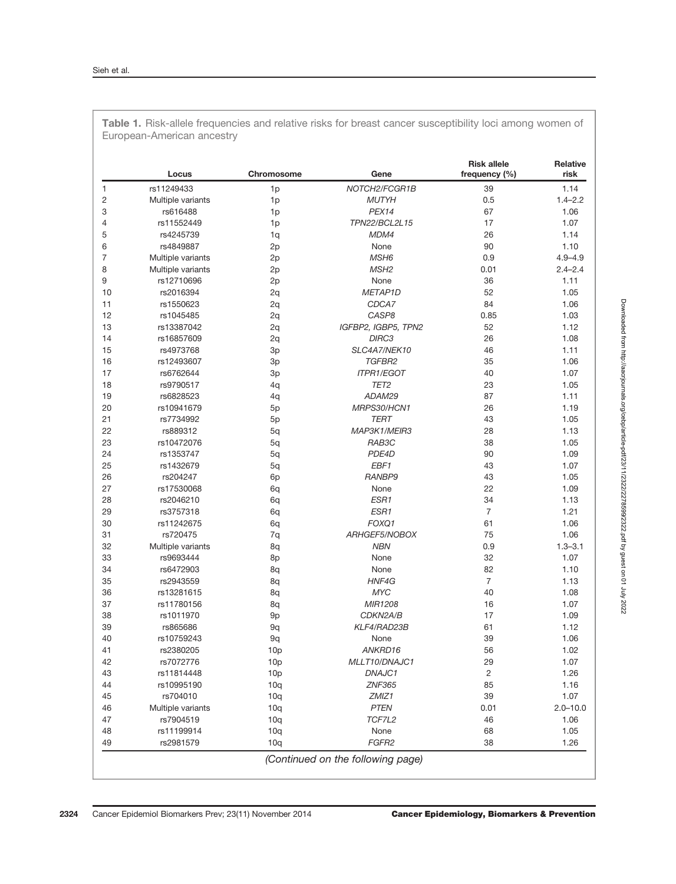|                | Locus             | <b>Chromosome</b> | Gene                | <b>Risk allele</b><br>frequency (%) | <b>Relative</b><br>risk |
|----------------|-------------------|-------------------|---------------------|-------------------------------------|-------------------------|
| 1              | rs11249433        | 1p                | NOTCH2/FCGR1B       | 39                                  | 1.14                    |
| $\overline{c}$ | Multiple variants | 1 <sub>p</sub>    | <b>MUTYH</b>        | 0.5                                 | $1.4 - 2.2$             |
| 3              | rs616488          | 1 <sub>p</sub>    | PEX14               | 67                                  | 1.06                    |
| 4              | rs11552449        | 1p                | TPN22/BCL2L15       | 17                                  | 1.07                    |
| 5              | rs4245739         | 1q                | MDM4                | 26                                  | 1.14                    |
| 6              | rs4849887         | 2p                | None                | 90                                  | 1.10                    |
| $\overline{7}$ | Multiple variants | 2p                | MSH <sub>6</sub>    | 0.9                                 | $4.9 - 4.9$             |
| 8              | Multiple variants | 2p                | MSH <sub>2</sub>    | 0.01                                | $2.4 - 2.4$             |
| 9              | rs12710696        | 2p                | None                | 36                                  | 1.11                    |
| 10             | rs2016394         | 2q                | METAP1D             | 52                                  | 1.05                    |
| 11             | rs1550623         | 2q                | CDCA7               | 84                                  | 1.06                    |
| 12             | rs1045485         | 2q                | CASP8               | 0.85                                | 1.03                    |
| 13             | rs13387042        | 2q                | IGFBP2, IGBP5, TPN2 | 52                                  | 1.12                    |
| 14             | rs16857609        | 2q                | DIRC3               | 26                                  | 1.08                    |
| 15             | rs4973768         | 3p                | SLC4A7/NEK10        | 46                                  | 1.11                    |
| 16             | rs12493607        | 3p                | TGFBR2              | 35                                  | 1.06                    |
| 17             | rs6762644         | 3p                | <b>ITPR1/EGOT</b>   | 40                                  | 1.07                    |
| 18             | rs9790517         | 4q                | TET <sub>2</sub>    | 23                                  | 1.05                    |
| 19             | rs6828523         | 4q                | ADAM29              | 87                                  | 1.11                    |
| 20             | rs10941679        | 5p                | MRPS30/HCN1         | 26                                  | 1.19                    |
| 21             | rs7734992         | 5p                | <b>TERT</b>         | 43                                  | 1.05                    |
| 22             | rs889312          | 5q                | MAP3K1/MEIR3        | 28                                  | 1.13                    |
| 23             | rs10472076        | 5q                | RAB3C               | 38                                  | 1.05                    |
| 24             | rs1353747         | 5q                | PDE4D               | 90                                  | 1.09                    |
| 25             | rs1432679         | 5q                | EBF1                | 43                                  | 1.07                    |
| 26             | rs204247          | 6 <sub>p</sub>    | RANBP9              | 43                                  | 1.05                    |
| 27             | rs17530068        | 6q                | None                | 22                                  | 1.09                    |
| 28             | rs2046210         | 6q                | ESR1                | 34                                  | 1.13                    |
| 29             | rs3757318         | 6q                | ESR1                | $\overline{7}$                      | 1.21                    |
| 30             | rs11242675        | 6q                | FOXQ1               | 61                                  | 1.06                    |
| 31             | rs720475          | 7q                | ARHGEF5/NOBOX       | 75                                  | 1.06                    |
| 32             | Multiple variants | 8q                | <b>NBN</b>          | 0.9                                 | $1.3 - 3.1$             |
| 33             | rs9693444         | 8p                | None                | 32                                  | 1.07                    |
| 34             | rs6472903         | 8q                | None                | 82                                  | 1.10                    |
| 35             | rs2943559         | 8q                | HNF4G               | $\overline{7}$                      | 1.13                    |
| 36             | rs13281615        | 8q                | <b>MYC</b>          | 40                                  | 1.08                    |
| 37             | rs11780156        | 8q                | MIR1208             | 16                                  | 1.07                    |
| 38             | rs1011970         | 9p                | CDKN2A/B            | 17                                  | 1.09                    |
| 39             | rs865686          | 9q                | KLF4/RAD23B         | 61                                  | 1.12                    |
| 40             | rs10759243        | 9q                | None                | 39                                  | 1.06                    |
| 41             | rs2380205         | 10p               | ANKRD16             | 56                                  | 1.02                    |
| 42             | rs7072776         | 10 <sub>p</sub>   | MLLT10/DNAJC1       | 29                                  | 1.07                    |
| 43             | rs11814448        | 10p               | DNAJC1              | $\overline{c}$                      | 1.26                    |
| 44             | rs10995190        | 10q               | <b>ZNF365</b>       | 85                                  | 1.16                    |
| 45             | rs704010          | 10q               | ZMIZ1               | 39                                  | 1.07                    |
| 46             | Multiple variants | 10q               | <b>PTEN</b>         | 0.01                                | $2.0 - 10.0$            |
| 47             | rs7904519         | 10q               | TCF7L2              | 46                                  | 1.06                    |
| 48             | rs11199914        | 10q               | None                | 68                                  | 1.05                    |
| 49             | rs2981579         | 10q               | FGFR2               | 38                                  | 1.26                    |

Table 1. Risk-allele frequencies and relative risks for breast cancer susceptibility loci among women of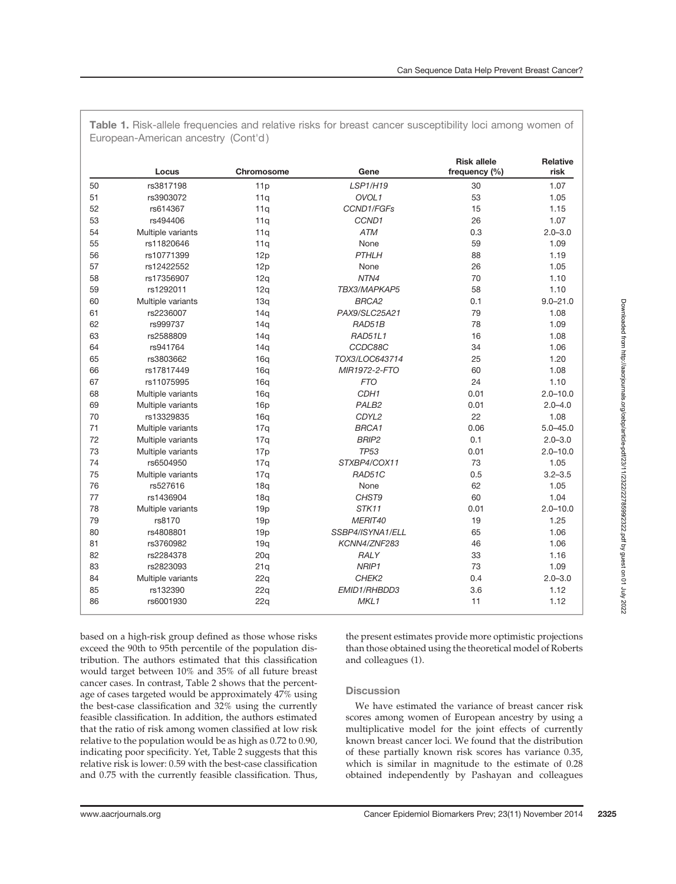|    | Locus             | Chromosome | Gene              | <b>Risk allele</b><br>frequency (%) | <b>Relative</b><br>risk |
|----|-------------------|------------|-------------------|-------------------------------------|-------------------------|
| 50 | rs3817198         | 11p        | LSP1/H19          | 30                                  | 1.07                    |
| 51 | rs3903072         | 11q        | OVOL1             | 53                                  | 1.05                    |
| 52 | rs614367          | 11q        | CCND1/FGFs        | 15                                  | 1.15                    |
| 53 | rs494406          | 11q        | CCND1             | 26                                  | 1.07                    |
| 54 | Multiple variants | 11q        | <b>ATM</b>        | 0.3                                 | $2.0 - 3.0$             |
| 55 | rs11820646        | 11q        | None              | 59                                  | 1.09                    |
| 56 | rs10771399        | 12p        | <b>PTHLH</b>      | 88                                  | 1.19                    |
| 57 | rs12422552        | 12p        | None              | 26                                  | 1.05                    |
| 58 | rs17356907        | 12q        | NTN4              | 70                                  | 1.10                    |
| 59 | rs1292011         | 12q        | TBX3/MAPKAP5      | 58                                  | 1.10                    |
| 60 | Multiple variants | 13q        | BRCA2             | 0.1                                 | $9.0 - 21.0$            |
| 61 | rs2236007         | 14q        | PAX9/SLC25A21     | 79                                  | 1.08                    |
| 62 | rs999737          | 14q        | RAD51B            | 78                                  | 1.09                    |
| 63 | rs2588809         | 14q        | <b>RAD51L1</b>    | 16                                  | 1.08                    |
| 64 | rs941764          | 14q        | CCDC88C           | 34                                  | 1.06                    |
| 65 | rs3803662         | 16q        | TOX3/LOC643714    | 25                                  | 1.20                    |
| 66 | rs17817449        | 16q        | MIR1972-2-FTO     | 60                                  | 1.08                    |
| 67 | rs11075995        | 16q        | <b>FTO</b>        | 24                                  | 1.10                    |
| 68 | Multiple variants | 16q        | CDH <sub>1</sub>  | 0.01                                | $2.0 - 10.0$            |
| 69 | Multiple variants | 16p        | PALB <sub>2</sub> | 0.01                                | $2.0 - 4.0$             |
| 70 | rs13329835        | 16q        | CDYL2             | 22                                  | 1.08                    |
| 71 | Multiple variants | 17q        | BRCA1             | 0.06                                | $5.0 - 45.0$            |
| 72 | Multiple variants | 17q        | <b>BRIP2</b>      | 0.1                                 | $2.0 - 3.0$             |
| 73 | Multiple variants | 17p        | <b>TP53</b>       | 0.01                                | $2.0 - 10.0$            |
| 74 | rs6504950         | 17q        | STXBP4/COX11      | 73                                  | 1.05                    |
| 75 | Multiple variants | 17q        | RAD51C            | 0.5                                 | $3.2 - 3.5$             |
| 76 | rs527616          | 18q        | None              | 62                                  | 1.05                    |
| 77 | rs1436904         | 18q        | CHST9             | 60                                  | 1.04                    |
| 78 | Multiple variants | 19p        | STK11             | 0.01                                | $2.0 - 10.0$            |
| 79 | rs8170            | 19p        | MERIT40           | 19                                  | 1.25                    |
| 80 | rs4808801         | 19p        | SSBP4/ISYNA1/ELL  | 65                                  | 1.06                    |
| 81 | rs3760982         | 19q        | KCNN4/ZNF283      | 46                                  | 1.06                    |
| 82 | rs2284378         | 20q        | RALY              | 33                                  | 1.16                    |
| 83 | rs2823093         | 21q        | NRIP1             | 73                                  | 1.09                    |
| 84 | Multiple variants | 22q        | CHEK2             | 0.4                                 | $2.0 - 3.0$             |
| 85 | rs132390          | 22q        | EMID1/RHBDD3      | 3.6                                 | 1.12                    |
| 86 | rs6001930         | 22q        | MKL1              | 11                                  | 1.12                    |

Table 1. Risk-allele frequencies and relative risks for breast cancer susceptibility loci among women of

based on a high-risk group defined as those whose risks exceed the 90th to 95th percentile of the population distribution. The authors estimated that this classification would target between 10% and 35% of all future breast cancer cases. In contrast, Table 2 shows that the percentage of cases targeted would be approximately 47% using the best-case classification and 32% using the currently feasible classification. In addition, the authors estimated that the ratio of risk among women classified at low risk relative to the population would be as high as 0.72 to 0.90, indicating poor specificity. Yet, Table 2 suggests that this relative risk is lower: 0.59 with the best-case classification and 0.75 with the currently feasible classification. Thus,

the present estimates provide more optimistic projections than those obtained using the theoretical model of Roberts and colleagues (1).

# **Discussion**

We have estimated the variance of breast cancer risk scores among women of European ancestry by using a multiplicative model for the joint effects of currently known breast cancer loci. We found that the distribution of these partially known risk scores has variance 0.35, which is similar in magnitude to the estimate of 0.28 obtained independently by Pashayan and colleagues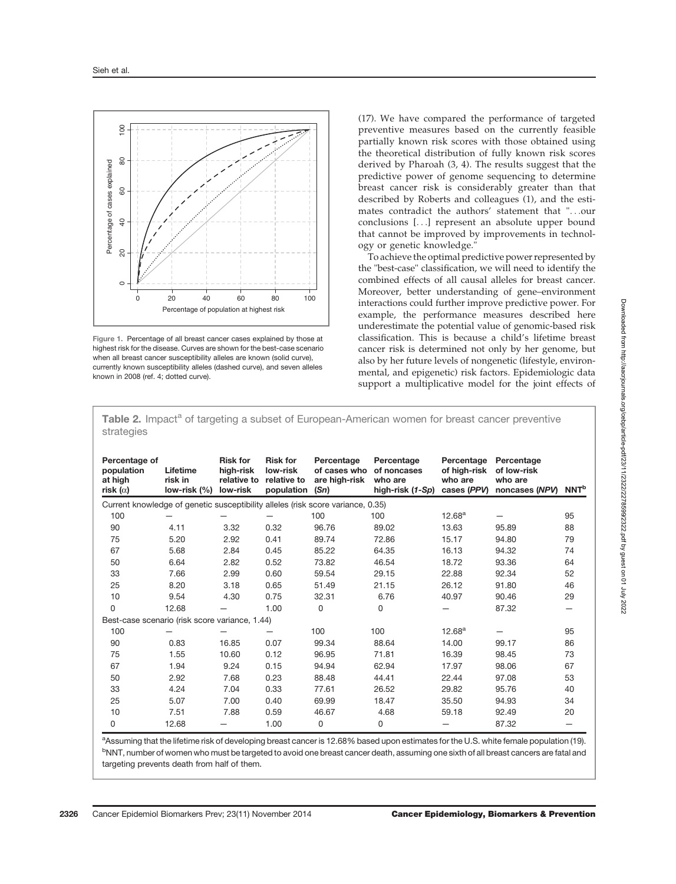

Figure 1. Percentage of all breast cancer cases explained by those at highest risk for the disease. Curves are shown for the best-case scenario when all breast cancer susceptibility alleles are known (solid curve), currently known susceptibility alleles (dashed curve), and seven alleles known in 2008 (ref. 4; dotted curve).

(17). We have compared the performance of targeted preventive measures based on the currently feasible partially known risk scores with those obtained using the theoretical distribution of fully known risk scores derived by Pharoah (3, 4). The results suggest that the predictive power of genome sequencing to determine breast cancer risk is considerably greater than that described by Roberts and colleagues (1), and the estimates contradict the authors' statement that "...our conclusions [...] represent an absolute upper bound that cannot be improved by improvements in technology or genetic knowledge."

To achieve the optimal predictive power represented by the "best-case" classification, we will need to identify the combined effects of all causal alleles for breast cancer. Moreover, better understanding of gene–environment interactions could further improve predictive power. For example, the performance measures described here underestimate the potential value of genomic-based risk classification. This is because a child's lifetime breast cancer risk is determined not only by her genome, but also by her future levels of nongenetic (lifestyle, environmental, and epigenetic) risk factors. Epidemiologic data support a multiplicative model for the joint effects of

Table 2. Impact<sup>a</sup> of targeting a subset of European-American women for breast cancer preventive strategies

| Percentage of<br>population<br>at high<br>risk ( $\alpha$ )                     | Lifetime<br>risk in<br>low-risk (%) | <b>Risk for</b><br>high-risk<br>relative to<br>low-risk | <b>Risk for</b><br>low-risk<br>relative to<br>population | Percentage<br>of cases who<br>are high-risk<br>(Sn) | Percentage<br>of noncases<br>who are<br>high-risk (1-Sp) | Percentage<br>of high-risk<br>who are<br>cases (PPV) | Percentage<br>of low-risk<br>who are<br>noncases (NPV) | <b>NNT<sup>b</sup></b> |  |  |
|---------------------------------------------------------------------------------|-------------------------------------|---------------------------------------------------------|----------------------------------------------------------|-----------------------------------------------------|----------------------------------------------------------|------------------------------------------------------|--------------------------------------------------------|------------------------|--|--|
| Current knowledge of genetic susceptibility alleles (risk score variance, 0.35) |                                     |                                                         |                                                          |                                                     |                                                          |                                                      |                                                        |                        |  |  |
| 100                                                                             |                                     |                                                         |                                                          | 100                                                 | 100                                                      | $12.68^{\text{a}}$                                   |                                                        | 95                     |  |  |
| 90                                                                              | 4.11                                | 3.32                                                    | 0.32                                                     | 96.76                                               | 89.02                                                    | 13.63                                                | 95.89                                                  | 88                     |  |  |
| 75                                                                              | 5.20                                | 2.92                                                    | 0.41                                                     | 89.74                                               | 72.86                                                    | 15.17                                                | 94.80                                                  | 79                     |  |  |
| 67                                                                              | 5.68                                | 2.84                                                    | 0.45                                                     | 85.22                                               | 64.35                                                    | 16.13                                                | 94.32                                                  | 74                     |  |  |
| 50                                                                              | 6.64                                | 2.82                                                    | 0.52                                                     | 73.82                                               | 46.54                                                    | 18.72                                                | 93.36                                                  | 64                     |  |  |
| 33                                                                              | 7.66                                | 2.99                                                    | 0.60                                                     | 59.54                                               | 29.15                                                    | 22.88                                                | 92.34                                                  | 52                     |  |  |
| 25                                                                              | 8.20                                | 3.18                                                    | 0.65                                                     | 51.49                                               | 21.15                                                    | 26.12                                                | 91.80                                                  | 46                     |  |  |
| 10                                                                              | 9.54                                | 4.30                                                    | 0.75                                                     | 32.31                                               | 6.76                                                     | 40.97                                                | 90.46                                                  | 29                     |  |  |
| 0                                                                               | 12.68                               |                                                         | 1.00                                                     | 0                                                   | 0                                                        |                                                      | 87.32                                                  | —                      |  |  |
| Best-case scenario (risk score variance, 1.44)                                  |                                     |                                                         |                                                          |                                                     |                                                          |                                                      |                                                        |                        |  |  |
| 100                                                                             |                                     |                                                         |                                                          | 100                                                 | 100                                                      | 12.68 <sup>a</sup>                                   |                                                        | 95                     |  |  |
| 90                                                                              | 0.83                                | 16.85                                                   | 0.07                                                     | 99.34                                               | 88.64                                                    | 14.00                                                | 99.17                                                  | 86                     |  |  |
| 75                                                                              | 1.55                                | 10.60                                                   | 0.12                                                     | 96.95                                               | 71.81                                                    | 16.39                                                | 98.45                                                  | 73                     |  |  |
| 67                                                                              | 1.94                                | 9.24                                                    | 0.15                                                     | 94.94                                               | 62.94                                                    | 17.97                                                | 98.06                                                  | 67                     |  |  |
| 50                                                                              | 2.92                                | 7.68                                                    | 0.23                                                     | 88.48                                               | 44.41                                                    | 22.44                                                | 97.08                                                  | 53                     |  |  |
| 33                                                                              | 4.24                                | 7.04                                                    | 0.33                                                     | 77.61                                               | 26.52                                                    | 29.82                                                | 95.76                                                  | 40                     |  |  |
| 25                                                                              | 5.07                                | 7.00                                                    | 0.40                                                     | 69.99                                               | 18.47                                                    | 35.50                                                | 94.93                                                  | 34                     |  |  |
| 10                                                                              | 7.51                                | 7.88                                                    | 0.59                                                     | 46.67                                               | 4.68                                                     | 59.18                                                | 92.49                                                  | 20                     |  |  |
| 0                                                                               | 12.68                               |                                                         | 1.00                                                     | 0                                                   | 0                                                        |                                                      | 87.32                                                  |                        |  |  |

<sup>a</sup>Assuming that the lifetime risk of developing breast cancer is 12.68% based upon estimates for the U.S. white female population (19). <sup>b</sup>NNT, number of women who must be targeted to avoid one breast cancer death, assuming one sixth of all breast cancers are fatal and targeting prevents death from half of them.